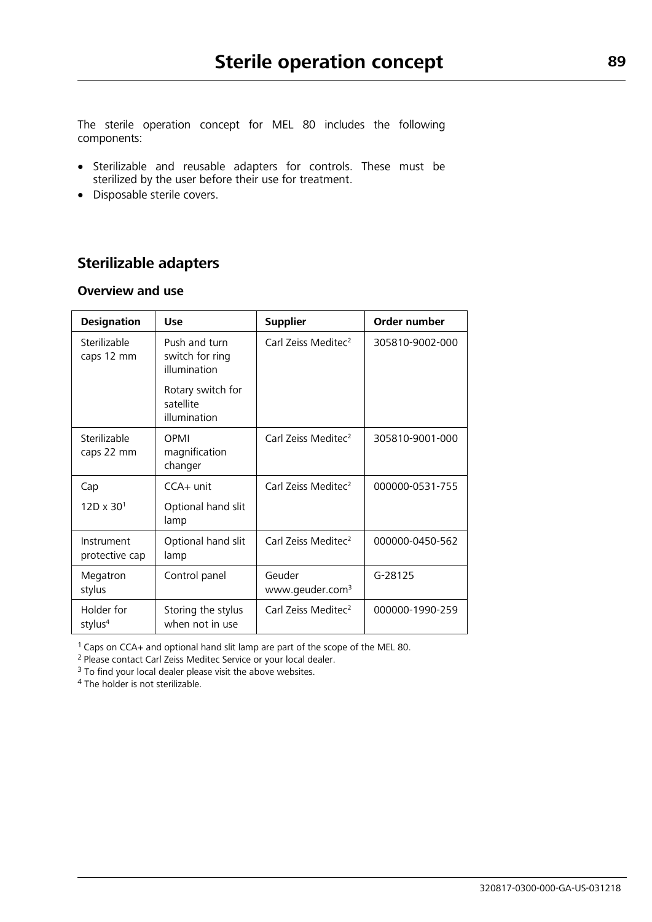The sterile operation concept for MEL 80 includes the following components:

- Sterilizable and reusable adapters for controls. These must be sterilized by the user before their use for treatment.
- Disposable sterile covers.

# **Sterilizable adapters**

### **Overview and use**

| <b>Designation</b>                | <b>Use</b>                                       | <b>Supplier</b>                       | Order number    |
|-----------------------------------|--------------------------------------------------|---------------------------------------|-----------------|
| Sterilizable<br>caps 12 mm        | Push and turn<br>switch for ring<br>illumination | Carl Zeiss Meditec <sup>2</sup>       | 305810-9002-000 |
|                                   | Rotary switch for<br>satellite<br>illumination   |                                       |                 |
| Sterilizable<br>caps 22 mm        | OPMI<br>magnification<br>changer                 | Carl Zeiss Meditec <sup>2</sup>       | 305810-9001-000 |
| Cap                               | $CCA+$ unit                                      | Carl Zeiss Meditec <sup>2</sup>       | 000000-0531-755 |
| $12D \times 30^{1}$               | Optional hand slit<br>lamp                       |                                       |                 |
| Instrument<br>protective cap      | Optional hand slit<br>lamp                       | Carl Zeiss Meditec <sup>2</sup>       | 000000-0450-562 |
| Megatron<br>stylus                | Control panel                                    | Geuder<br>www.geuder.com <sup>3</sup> | G-28125         |
| Holder for<br>stylus <sup>4</sup> | Storing the stylus<br>when not in use            | Carl Zeiss Meditec <sup>2</sup>       | 000000-1990-259 |

<sup>1</sup>Caps on CCA+ and optional hand slit lamp are part of the scope of the MEL 80.

<sup>2</sup> Please contact Carl Zeiss Meditec Service or your local dealer.

 $3$  To find your local dealer please visit the above websites.

<sup>4</sup> The holder is not sterilizable.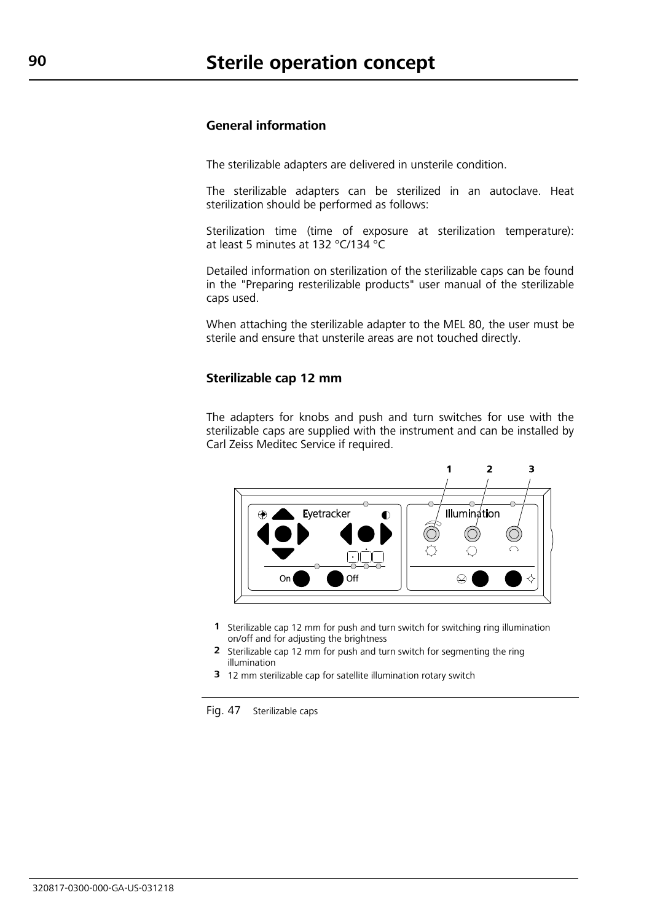#### **General information**

The sterilizable adapters are delivered in unsterile condition.

The sterilizable adapters can be sterilized in an autoclave. Heat sterilization should be performed as follows:

Sterilization time (time of exposure at sterilization temperature): at least 5 minutes at 132 °C/134 °C

Detailed information on sterilization of the sterilizable caps can be found in the "Preparing resterilizable products" user manual of the sterilizable caps used.

When attaching the sterilizable adapter to the MEL 80, the user must be sterile and ensure that unsterile areas are not touched directly.

#### **Sterilizable cap 12 mm**

The adapters for knobs and push and turn switches for use with the sterilizable caps are supplied with the instrument and can be installed by Carl Zeiss Meditec Service if required.



- **1** Sterilizable cap 12 mm for push and turn switch for switching ring illumination on/off and for adjusting the brightness
- **2** Sterilizable cap 12 mm for push and turn switch for segmenting the ring illumination
- **3** 12 mm sterilizable cap for satellite illumination rotary switch

Fig. 47 Sterilizable caps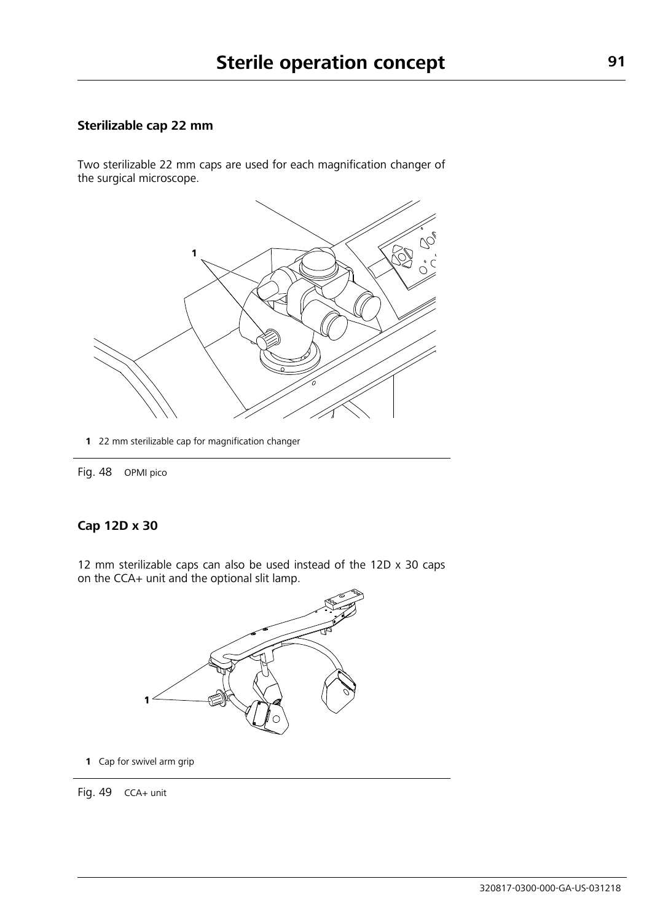### **Sterilizable cap 22 mm**

Two sterilizable 22 mm caps are used for each magnification changer of the surgical microscope.



**1** 22 mm sterilizable cap for magnification changer

Fig. 48 OPMI pico

### **Cap 12D x 30**

12 mm sterilizable caps can also be used instead of the 12D x 30 caps on the CCA+ unit and the optional slit lamp.



**1** Cap for swivel arm grip

Fig. 49 CCA+ unit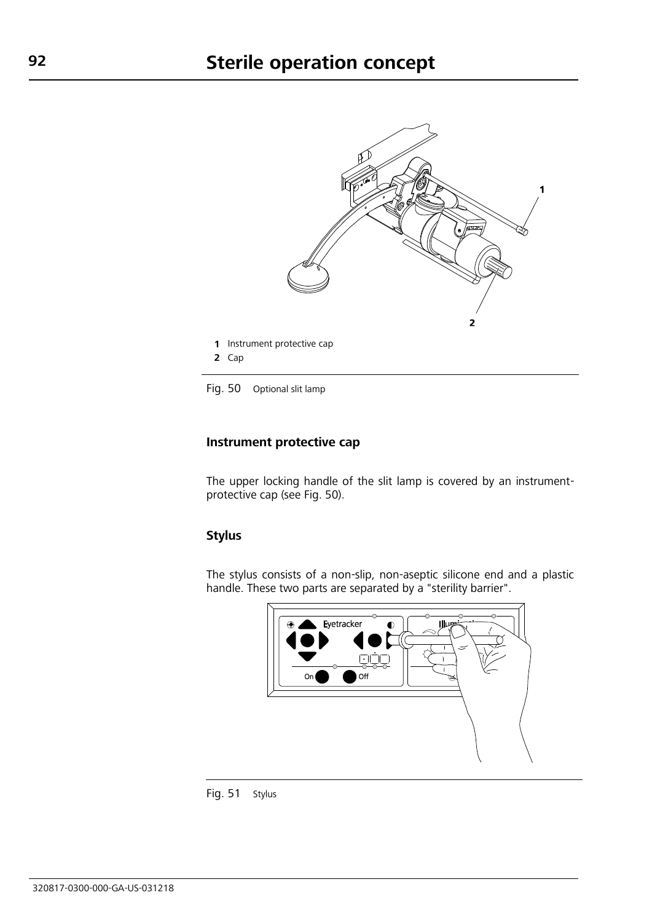

<span id="page-3-0"></span>Fig. 50 Optional slit lamp

#### **Instrument protective cap**

The upper locking handle of the slit lamp is covered by an instrumentprotective cap (see [Fig.](#page-3-0) 50).

## **Stylus**

The stylus consists of a non-slip, non-aseptic silicone end and a plastic handle. These two parts are separated by a "sterility barrier".